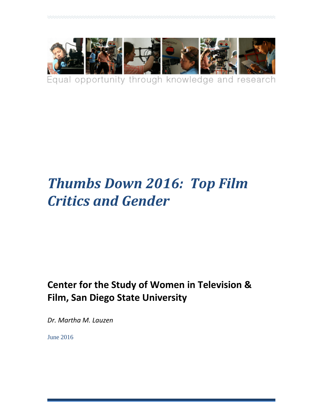

Equal opportunity through knowledge and research

# *Thumbs Down 2016: Top Film Critics and Gender*

# **Center for the Study of Women in Television & Film, San Diego State University**

*Dr. Martha M. Lauzen*

June 2016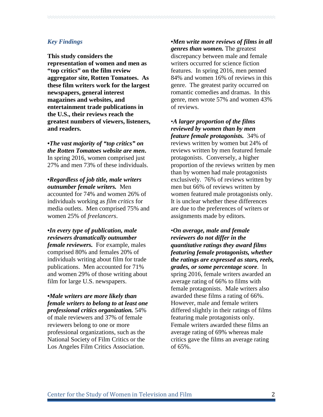#### *Key Findings*

**This study considers the representation of women and men as "top critics" on the film review aggregator site, Rotten Tomatoes. As these film writers work for the largest newspapers, general interest magazines and websites, and entertainment trade publications in the U.S., their reviews reach the greatest numbers of viewers, listeners, and readers.**

**•***The vast majority of "top critics" on the Rotten Tomatoes website are men***.** In spring 2016, women comprised just 27% and men 73% of these individuals.

**•***Regardless of job title, male writers outnumber female writers.* Men accounted for 74% and women 26% of individuals working as *film critics* for media outlets. Men comprised 75% and women 25% of *freelancers*.

**•***In every type of publication, male reviewers dramatically outnumber female reviewers.* For example, males comprised 80% and females 20% of individuals writing about film for trade publications. Men accounted for 71% and women 29% of those writing about film for large U.S. newspapers.

**•***Male writers are more likely than female writers to belong to at least one professional critics organization.* 54% of male reviewers and 37% of female reviewers belong to one or more professional organizations, such as the National Society of Film Critics or the Los Angeles Film Critics Association.

**•***Men write more reviews of films in all genres than women.* The greatest discrepancy between male and female writers occurred for science fiction features. In spring 2016, men penned 84% and women 16% of reviews in this genre. The greatest parity occurred on romantic comedies and dramas. In this genre, men wrote 57% and women 43% of reviews.

•*A larger proportion of the films reviewed by women than by men feature female protagonists.* 34% of reviews written by women but 24% of reviews written by men featured female protagonists. Conversely, a higher proportion of the reviews written by men than by women had male protagonists exclusively. 76% of reviews written by men but 66% of reviews written by women featured male protagonists only. It is unclear whether these differences are due to the preferences of writers or assignments made by editors.

•*On average, male and female reviewers do not differ in the quantitative ratings they award films featuring female protagonists, whether the ratings are expressed as stars, reels, grades, or some percentage score*. In spring 2016, female writers awarded an average rating of 66% to films with female protagonists. Male writers also awarded these films a rating of 66%. However, male and female writers differed slightly in their ratings of films featuring male protagonists only. Female writers awarded these films an average rating of 69% whereas male critics gave the films an average rating of 65%.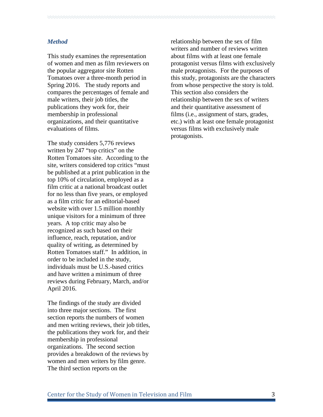## *Method*

This study examines the representation of women and men as film reviewers on the popular aggregator site Rotten Tomatoes over a three-month period in Spring 2016. The study reports and compares the percentages of female and male writers, their job titles, the publications they work for, their membership in professional organizations, and their quantitative evaluations of films.

The study considers 5,776 reviews written by 247 "top critics" on the Rotten Tomatoes site. According to the site, writers considered top critics "must be published at a print publication in the top 10% of circulation, employed as a film critic at a national broadcast outlet for no less than five years, or employed as a film critic for an editorial-based website with over 1.5 million monthly unique visitors for a minimum of three years. A top critic may also be recognized as such based on their influence, reach, reputation, and/or quality of writing, as determined by Rotten Tomatoes staff." In addition, in order to be included in the study, individuals must be U.S.-based critics and have written a minimum of three reviews during February, March, and/or April 2016.

The findings of the study are divided into three major sections. The first section reports the numbers of women and men writing reviews, their job titles, the publications they work for, and their membership in professional organizations. The second section provides a breakdown of the reviews by women and men writers by film genre. The third section reports on the

relationship between the sex of film writers and number of reviews written about films with at least one female protagonist versus films with exclusively male protagonists. For the purposes of this study, protagonists are the characters from whose perspective the story is told. This section also considers the relationship between the sex of writers and their quantitative assessment of films (i.e., assignment of stars, grades, etc.) with at least one female protagonist versus films with exclusively male protagonists.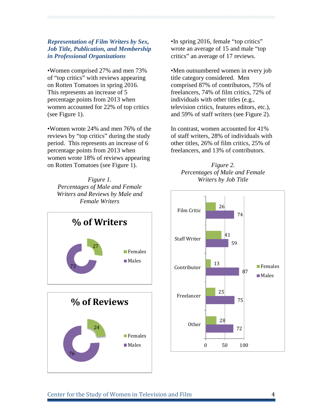## *Representation of Film Writers by Sex, Job Title, Publication, and Membership in Professional Organizations*

•Women comprised 27% and men 73% of "top critics" with reviews appearing on Rotten Tomatoes in spring 2016. This represents an increase of 5 percentage points from 2013 when women accounted for 22% of top critics (see Figure 1).

•Women wrote 24% and men 76% of the reviews by "top critics" during the study period. This represents an increase of 6 percentage points from 2013 when women wrote 18% of reviews appearing on Rotten Tomatoes (see Figure 1).

*Figure 1. Percentages of Male and Female Writers and Reviews by Male and Female Writers*

•In spring 2016, female "top critics" wrote an average of 15 and male "top critics" an average of 17 reviews.

•Men outnumbered women in every job title category considered. Men comprised 87% of contributors, 75% of freelancers, 74% of film critics, 72% of individuals with other titles (e.g., television critics, features editors, etc.), and 59% of staff writers (see Figure 2).

In contrast, women accounted for 41% of staff writers, 28% of individuals with other titles, 26% of film critics, 25% of freelancers, and 13% of contributors.





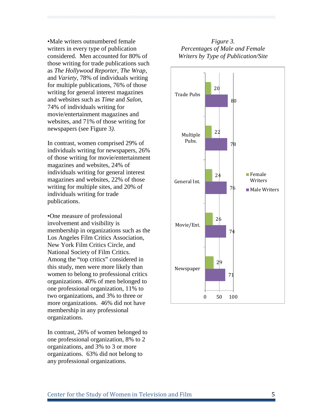•Male writers outnumbered female writers in every type of publication considered. Men accounted for 80% of those writing for trade publications such as *The Hollywood Reporter*, *The Wrap*, and *Variety*, 78% of individuals writing for multiple publications, 76% of those writing for general interest magazines and websites such as *Time* and *Salon*, 74% of individuals writing for movie/entertainment magazines and websites, and 71% of those writing for newspapers (see Figure 3*)*.

In contrast, women comprised 29% of individuals writing for newspapers, 26% of those writing for movie/entertainment magazines and websites, 24% of individuals writing for general interest magazines and websites, 22% of those writing for multiple sites, and 20% of individuals writing for trade publications.

•One measure of professional involvement and visibility is membership in organizations such as the Los Angeles Film Critics Association, New York Film Critics Circle, and National Society of Film Critics. Among the "top critics" considered in this study, men were more likely than women to belong to professional critics organizations. 40% of men belonged to one professional organization, 11% to two organizations, and 3% to three or more organizations. 46% did not have membership in any professional organizations.

In contrast, 26% of women belonged to one professional organization, 8% to 2 organizations, and 3% to 3 or more organizations. 63% did not belong to any professional organizations.

# *Figure 3. Percentages of Male and Female Writers by Type of Publication/Site*

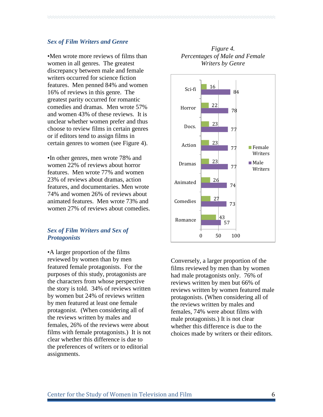#### *Sex of Film Writers and Genre*

•Men wrote more reviews of films than women in all genres. The greatest discrepancy between male and female writers occurred for science fiction features. Men penned 84% and women 16% of reviews in this genre. The greatest parity occurred for romantic comedies and dramas. Men wrote 57% and women 43% of these reviews. It is unclear whether women prefer and thus choose to review films in certain genres or if editors tend to assign films in certain genres to women (see Figure 4).

•In other genres, men wrote 78% and women 22% of reviews about horror features. Men wrote 77% and women 23% of reviews about dramas, action features, and documentaries. Men wrote 74% and women 26% of reviews about animated features. Men wrote 73% and women 27% of reviews about comedies.

### *Sex of Film Writers and Sex of Protagonists*

•A larger proportion of the films reviewed by women than by men featured female protagonists. For the purposes of this study, protagonists are the characters from whose perspective the story is told. 34% of reviews written by women but 24% of reviews written by men featured at least one female protagonist. (When considering all of the reviews written by males and females, 26% of the reviews were about films with female protagonists.) It is not clear whether this difference is due to the preferences of writers or to editorial assignments.





Conversely, a larger proportion of the films reviewed by men than by women had male protagonists only. 76% of reviews written by men but 66% of reviews written by women featured male protagonists. (When considering all of the reviews written by males and females, 74% were about films with male protagonists.) It is not clear whether this difference is due to the choices made by writers or their editors.